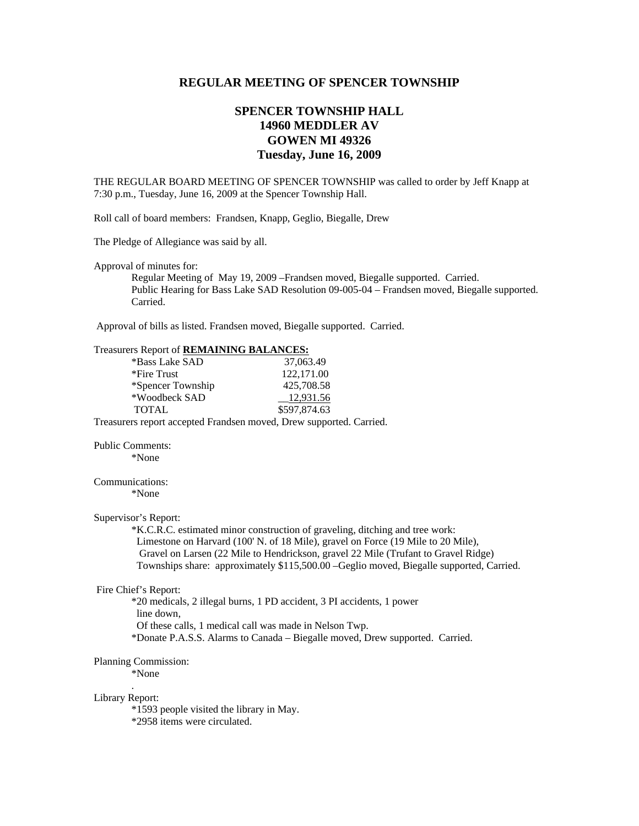# **REGULAR MEETING OF SPENCER TOWNSHIP**

# **SPENCER TOWNSHIP HALL 14960 MEDDLER AV GOWEN MI 49326 Tuesday, June 16, 2009**

THE REGULAR BOARD MEETING OF SPENCER TOWNSHIP was called to order by Jeff Knapp at 7:30 p.m., Tuesday, June 16, 2009 at the Spencer Township Hall.

Roll call of board members: Frandsen, Knapp, Geglio, Biegalle, Drew

The Pledge of Allegiance was said by all.

Approval of minutes for:

 Regular Meeting of May 19, 2009 –Frandsen moved, Biegalle supported. Carried. Public Hearing for Bass Lake SAD Resolution 09-005-04 – Frandsen moved, Biegalle supported. Carried.

Approval of bills as listed. Frandsen moved, Biegalle supported. Carried.

|                                                                     | Treasurers Report of REMAINING BALANCES:                                 |                                                                                                                                                                                                                                                                                                                                                                                                                                                                                                             |
|---------------------------------------------------------------------|--------------------------------------------------------------------------|-------------------------------------------------------------------------------------------------------------------------------------------------------------------------------------------------------------------------------------------------------------------------------------------------------------------------------------------------------------------------------------------------------------------------------------------------------------------------------------------------------------|
|                                                                     | *Bass Lake SAD                                                           | 37,063.49                                                                                                                                                                                                                                                                                                                                                                                                                                                                                                   |
|                                                                     | *Fire Trust                                                              | 122,171.00                                                                                                                                                                                                                                                                                                                                                                                                                                                                                                  |
|                                                                     | *Spencer Township                                                        | 425,708.58                                                                                                                                                                                                                                                                                                                                                                                                                                                                                                  |
|                                                                     | *Woodbeck SAD                                                            | 12,931.56                                                                                                                                                                                                                                                                                                                                                                                                                                                                                                   |
|                                                                     | <b>TOTAL</b>                                                             | \$597,874.63                                                                                                                                                                                                                                                                                                                                                                                                                                                                                                |
| Treasurers report accepted Frandsen moved, Drew supported. Carried. |                                                                          |                                                                                                                                                                                                                                                                                                                                                                                                                                                                                                             |
| <b>Public Comments:</b>                                             |                                                                          |                                                                                                                                                                                                                                                                                                                                                                                                                                                                                                             |
|                                                                     | *None                                                                    |                                                                                                                                                                                                                                                                                                                                                                                                                                                                                                             |
| Communications:                                                     |                                                                          |                                                                                                                                                                                                                                                                                                                                                                                                                                                                                                             |
|                                                                     | *None                                                                    |                                                                                                                                                                                                                                                                                                                                                                                                                                                                                                             |
| Supervisor's Report:<br>Fire Chief's Report:                        | line down.<br>Of these calls, 1 medical call was made in Nelson Twp.     | *K.C.R.C. estimated minor construction of graveling, ditching and tree work:<br>Limestone on Harvard (100' N. of 18 Mile), gravel on Force (19 Mile to 20 Mile),<br>Gravel on Larsen (22 Mile to Hendrickson, gravel 22 Mile (Trufant to Gravel Ridge)<br>Townships share: approximately \$115,500.00 - Geglio moved, Biegalle supported, Carried.<br>*20 medicals, 2 illegal burns, 1 PD accident, 3 PI accidents, 1 power<br>*Donate P.A.S.S. Alarms to Canada – Biegalle moved, Drew supported. Carried. |
|                                                                     | Planning Commission:<br>*None                                            |                                                                                                                                                                                                                                                                                                                                                                                                                                                                                                             |
| Library Report:                                                     | *1593 people visited the library in May.<br>*2958 items were circulated. |                                                                                                                                                                                                                                                                                                                                                                                                                                                                                                             |